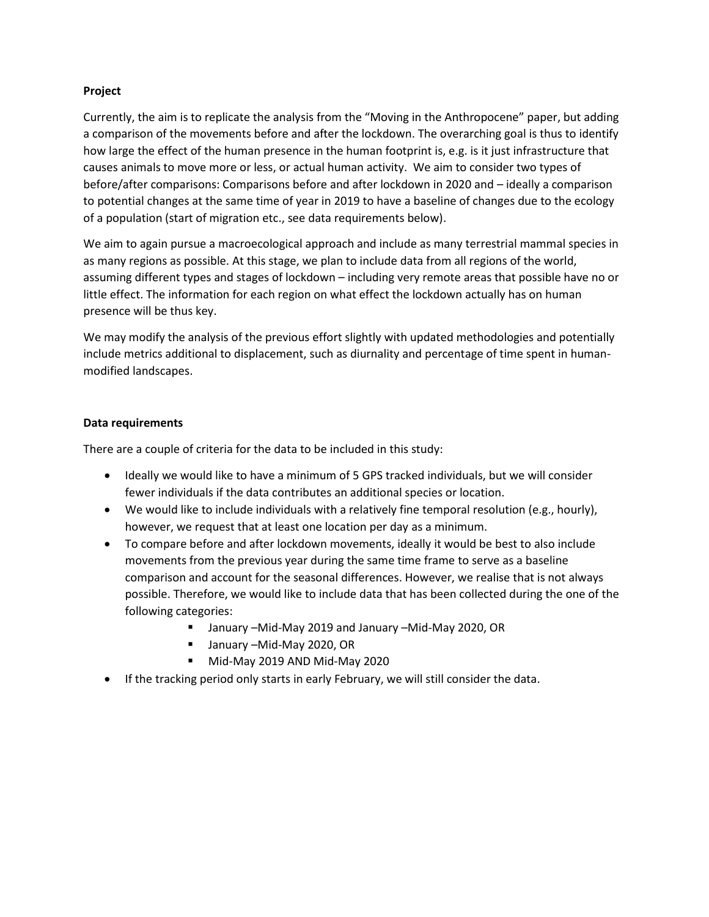## **Project**

Currently, the aim is to replicate the analysis from the "Moving in the Anthropocene" paper, but adding a comparison of the movements before and after the lockdown. The overarching goal is thus to identify how large the effect of the human presence in the human footprint is, e.g. is it just infrastructure that causes animals to move more or less, or actual human activity. We aim to consider two types of before/after comparisons: Comparisons before and after lockdown in 2020 and – ideally a comparison to potential changes at the same time of year in 2019 to have a baseline of changes due to the ecology of a population (start of migration etc., see data requirements below).

We aim to again pursue a macroecological approach and include as many terrestrial mammal species in as many regions as possible. At this stage, we plan to include data from all regions of the world, assuming different types and stages of lockdown – including very remote areas that possible have no or little effect. The information for each region on what effect the lockdown actually has on human presence will be thus key.

We may modify the analysis of the previous effort slightly with updated methodologies and potentially include metrics additional to displacement, such as diurnality and percentage of time spent in humanmodified landscapes.

## **Data requirements**

There are a couple of criteria for the data to be included in this study:

- Ideally we would like to have a minimum of 5 GPS tracked individuals, but we will consider fewer individuals if the data contributes an additional species or location.
- We would like to include individuals with a relatively fine temporal resolution (e.g., hourly), however, we request that at least one location per day as a minimum.
- To compare before and after lockdown movements, ideally it would be best to also include movements from the previous year during the same time frame to serve as a baseline comparison and account for the seasonal differences. However, we realise that is not always possible. Therefore, we would like to include data that has been collected during the one of the following categories:
	- January –Mid-May 2019 and January –Mid-May 2020, OR
	- January –Mid-May 2020, OR
	- Mid-May 2019 AND Mid-May 2020
- If the tracking period only starts in early February, we will still consider the data.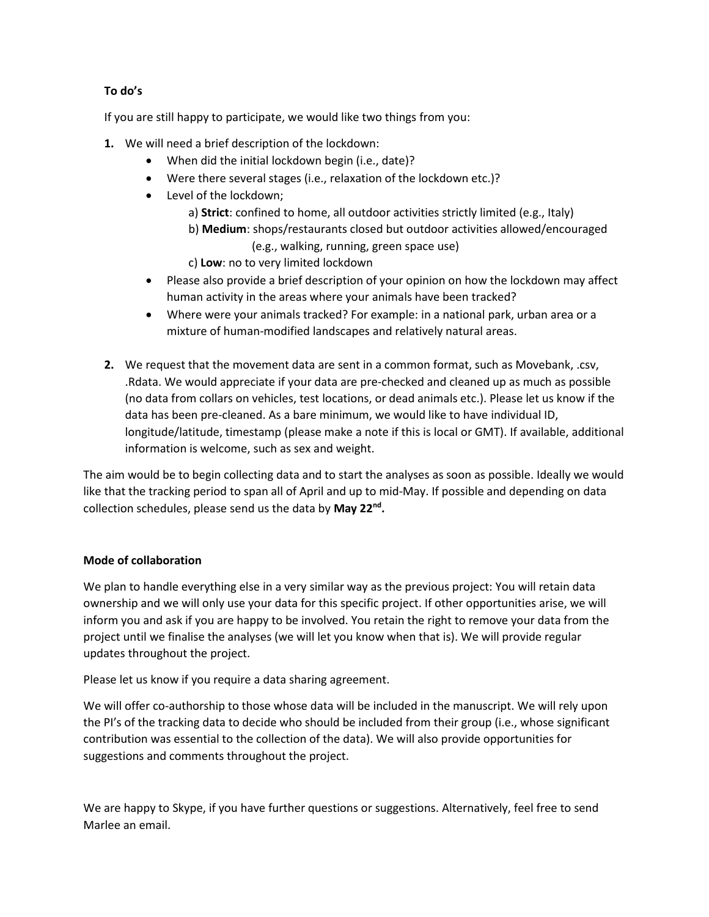## **To do's**

If you are still happy to participate, we would like two things from you:

- **1.** We will need a brief description of the lockdown:
	- When did the initial lockdown begin (i.e., date)?
	- Were there several stages (i.e., relaxation of the lockdown etc.)?
	- Level of the lockdown:
		- a) **Strict**: confined to home, all outdoor activities strictly limited (e.g., Italy)
		- b) **Medium**: shops/restaurants closed but outdoor activities allowed/encouraged (e.g., walking, running, green space use)
		- c) **Low**: no to very limited lockdown
	- Please also provide a brief description of your opinion on how the lockdown may affect human activity in the areas where your animals have been tracked?
	- Where were your animals tracked? For example: in a national park, urban area or a mixture of human-modified landscapes and relatively natural areas.
- **2.** We request that the movement data are sent in a common format, such as Movebank, .csv, .Rdata. We would appreciate if your data are pre-checked and cleaned up as much as possible (no data from collars on vehicles, test locations, or dead animals etc.). Please let us know if the data has been pre-cleaned. As a bare minimum, we would like to have individual ID, longitude/latitude, timestamp (please make a note if this is local or GMT). If available, additional information is welcome, such as sex and weight.

The aim would be to begin collecting data and to start the analyses as soon as possible. Ideally we would like that the tracking period to span all of April and up to mid-May. If possible and depending on data collection schedules, please send us the data by **May 22nd .**

## **Mode of collaboration**

We plan to handle everything else in a very similar way as the previous project: You will retain data ownership and we will only use your data for this specific project. If other opportunities arise, we will inform you and ask if you are happy to be involved. You retain the right to remove your data from the project until we finalise the analyses (we will let you know when that is). We will provide regular updates throughout the project.

Please let us know if you require a data sharing agreement.

We will offer co-authorship to those whose data will be included in the manuscript. We will rely upon the PI's of the tracking data to decide who should be included from their group (i.e., whose significant contribution was essential to the collection of the data). We will also provide opportunities for suggestions and comments throughout the project.

We are happy to Skype, if you have further questions or suggestions. Alternatively, feel free to send Marlee an email.